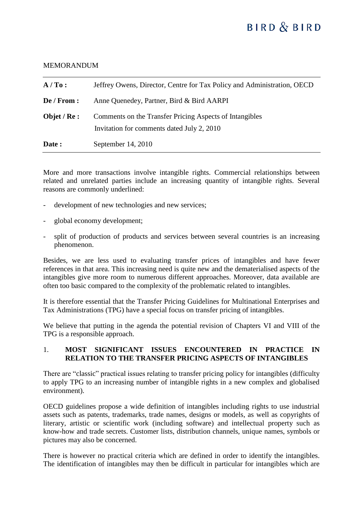# **BIRD & BIRD**

#### **MEMORANDUM**

| $A/T_0$ :     | Jeffrey Owens, Director, Centre for Tax Policy and Administration, OECD                               |
|---------------|-------------------------------------------------------------------------------------------------------|
| De/From:      | Anne Quenedey, Partner, Bird & Bird AARPI                                                             |
| Objet / $Re:$ | Comments on the Transfer Pricing Aspects of Intangibles<br>Invitation for comments dated July 2, 2010 |
| Date:         | September $14, 2010$                                                                                  |

More and more transactions involve intangible rights. Commercial relationships between related and unrelated parties include an increasing quantity of intangible rights. Several reasons are commonly underlined:

- development of new technologies and new services;
- global economy development;
- split of production of products and services between several countries is an increasing phenomenon.

Besides, we are less used to evaluating transfer prices of intangibles and have fewer references in that area. This increasing need is quite new and the dematerialised aspects of the intangibles give more room to numerous different approaches. Moreover, data available are often too basic compared to the complexity of the problematic related to intangibles.

It is therefore essential that the Transfer Pricing Guidelines for Multinational Enterprises and Tax Administrations (TPG) have a special focus on transfer pricing of intangibles.

We believe that putting in the agenda the potential revision of Chapters VI and VIII of the TPG is a responsible approach.

## 1. **MOST SIGNIFICANT ISSUES ENCOUNTERED IN PRACTICE IN RELATION TO THE TRANSFER PRICING ASPECTS OF INTANGIBLES**

There are "classic" practical issues relating to transfer pricing policy for intangibles (difficulty to apply TPG to an increasing number of intangible rights in a new complex and globalised environment).

OECD guidelines propose a wide definition of intangibles including rights to use industrial assets such as patents, trademarks, trade names, designs or models, as well as copyrights of literary, artistic or scientific work (including software) and intellectual property such as know-how and trade secrets. Customer lists, distribution channels, unique names, symbols or pictures may also be concerned.

There is however no practical criteria which are defined in order to identify the intangibles. The identification of intangibles may then be difficult in particular for intangibles which are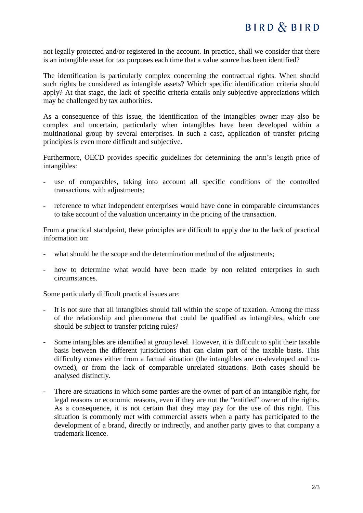not legally protected and/or registered in the account. In practice, shall we consider that there is an intangible asset for tax purposes each time that a value source has been identified?

The identification is particularly complex concerning the contractual rights. When should such rights be considered as intangible assets? Which specific identification criteria should apply? At that stage, the lack of specific criteria entails only subjective appreciations which may be challenged by tax authorities.

As a consequence of this issue, the identification of the intangibles owner may also be complex and uncertain, particularly when intangibles have been developed within a multinational group by several enterprises. In such a case, application of transfer pricing principles is even more difficult and subjective.

Furthermore, OECD provides specific guidelines for determining the arm's length price of intangibles:

- use of comparables, taking into account all specific conditions of the controlled transactions, with adjustments;
- reference to what independent enterprises would have done in comparable circumstances to take account of the valuation uncertainty in the pricing of the transaction.

From a practical standpoint, these principles are difficult to apply due to the lack of practical information on:

- what should be the scope and the determination method of the adjustments;
- how to determine what would have been made by non related enterprises in such circumstances.

Some particularly difficult practical issues are:

- It is not sure that all intangibles should fall within the scope of taxation. Among the mass of the relationship and phenomena that could be qualified as intangibles, which one should be subject to transfer pricing rules?
- Some intangibles are identified at group level. However, it is difficult to split their taxable basis between the different jurisdictions that can claim part of the taxable basis. This difficulty comes either from a factual situation (the intangibles are co-developed and coowned), or from the lack of comparable unrelated situations. Both cases should be analysed distinctly.
- There are situations in which some parties are the owner of part of an intangible right, for legal reasons or economic reasons, even if they are not the "entitled" owner of the rights. As a consequence, it is not certain that they may pay for the use of this right. This situation is commonly met with commercial assets when a party has participated to the development of a brand, directly or indirectly, and another party gives to that company a trademark licence.